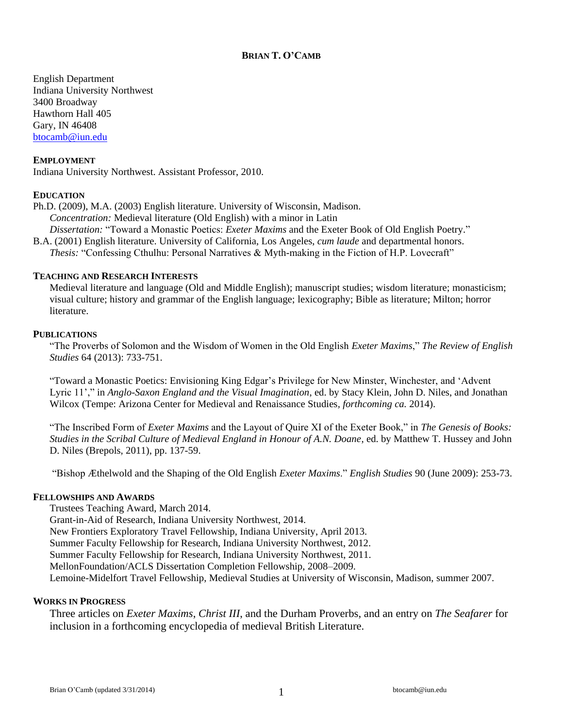# **BRIAN T. O'CAMB**

English Department Indiana University Northwest 3400 Broadway Hawthorn Hall 405 Gary, IN 46408 [btocamb@iun.edu](mailto:btocamb@iun.edu)

#### **EMPLOYMENT**

Indiana University Northwest. Assistant Professor, 2010.

### **EDUCATION**

Ph.D. (2009), M.A. (2003) English literature. University of Wisconsin, Madison. *Concentration:* Medieval literature (Old English) with a minor in Latin *Dissertation:* "Toward a Monastic Poetics: *Exeter Maxims* and the Exeter Book of Old English Poetry."

B.A. (2001) English literature. University of California, Los Angeles, *cum laude* and departmental honors. *Thesis:* "Confessing Cthulhu: Personal Narratives & Myth-making in the Fiction of H.P. Lovecraft"

#### **TEACHING AND RESEARCH INTERESTS**

Medieval literature and language (Old and Middle English); manuscript studies; wisdom literature; monasticism; visual culture; history and grammar of the English language; lexicography; Bible as literature; Milton; horror literature.

#### **PUBLICATIONS**

"The Proverbs of Solomon and the Wisdom of Women in the Old English *Exeter Maxims*," *The Review of English Studies* 64 (2013): 733-751.

"Toward a Monastic Poetics: Envisioning King Edgar's Privilege for New Minster, Winchester, and 'Advent Lyric 11'," in *Anglo-Saxon England and the Visual Imagination*, ed. by Stacy Klein, John D. Niles, and Jonathan Wilcox (Tempe: Arizona Center for Medieval and Renaissance Studies*, forthcoming ca.* 2014).

"The Inscribed Form of *Exeter Maxims* and the Layout of Quire XI of the Exeter Book," in *The Genesis of Books: Studies in the Scribal Culture of Medieval England in Honour of A.N. Doane*, ed. by Matthew T. Hussey and John D. Niles (Brepols, 2011), pp. 137-59.

"Bishop Æthelwold and the Shaping of the Old English *Exeter Maxims*." *English Studies* 90 (June 2009): 253-73.

# **FELLOWSHIPS AND AWARDS**

Trustees Teaching Award, March 2014. Grant-in-Aid of Research, Indiana University Northwest, 2014. New Frontiers Exploratory Travel Fellowship, Indiana University, April 2013. Summer Faculty Fellowship for Research, Indiana University Northwest, 2012. Summer Faculty Fellowship for Research, Indiana University Northwest, 2011. MellonFoundation/ACLS Dissertation Completion Fellowship, 2008–2009. Lemoine-Midelfort Travel Fellowship, Medieval Studies at University of Wisconsin, Madison, summer 2007.

#### **WORKS IN PROGRESS**

Three articles on *Exeter Maxims*, *Christ III*, and the Durham Proverbs, and an entry on *The Seafarer* for inclusion in a forthcoming encyclopedia of medieval British Literature.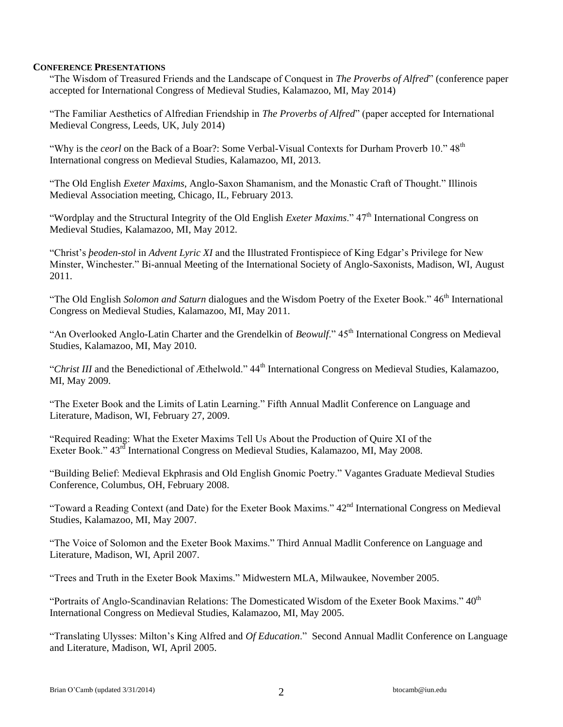### **CONFERENCE PRESENTATIONS**

"The Wisdom of Treasured Friends and the Landscape of Conquest in *The Proverbs of Alfred*" (conference paper accepted for International Congress of Medieval Studies, Kalamazoo, MI, May 2014)

"The Familiar Aesthetics of Alfredian Friendship in *The Proverbs of Alfred*" (paper accepted for International Medieval Congress, Leeds, UK, July 2014)

"Why is the *ceorl* on the Back of a Boar?: Some Verbal-Visual Contexts for Durham Proverb 10." 48<sup>th</sup> International congress on Medieval Studies, Kalamazoo, MI, 2013.

"The Old English *Exeter Maxims*, Anglo-Saxon Shamanism, and the Monastic Craft of Thought." Illinois Medieval Association meeting, Chicago, IL, February 2013.

"Wordplay and the Structural Integrity of the Old English *Exeter Maxims*." 47<sup>th</sup> International Congress on Medieval Studies, Kalamazoo, MI, May 2012.

"Christ's *þeoden-stol* in *Advent Lyric XI* and the Illustrated Frontispiece of King Edgar's Privilege for New Minster, Winchester." Bi-annual Meeting of the International Society of Anglo-Saxonists, Madison, WI, August 2011.

"The Old English *Solomon and Saturn* dialogues and the Wisdom Poetry of the Exeter Book." 46<sup>th</sup> International Congress on Medieval Studies, Kalamazoo, MI, May 2011.

"An Overlooked Anglo-Latin Charter and the Grendelkin of *Beowulf*." 45<sup>th</sup> International Congress on Medieval Studies, Kalamazoo, MI, May 2010.

"Christ III and the Benedictional of Æthelwold." 44<sup>th</sup> International Congress on Medieval Studies, Kalamazoo, MI, May 2009.

"The Exeter Book and the Limits of Latin Learning." Fifth Annual Madlit Conference on Language and Literature, Madison, WI, February 27, 2009.

"Required Reading: What the Exeter Maxims Tell Us About the Production of Quire XI of the Exeter Book."  $43^{rd}$  International Congress on Medieval Studies, Kalamazoo, MI, May 2008.

"Building Belief: Medieval Ekphrasis and Old English Gnomic Poetry." Vagantes Graduate Medieval Studies Conference, Columbus, OH, February 2008.

"Toward a Reading Context (and Date) for the Exeter Book Maxims."  $42<sup>nd</sup>$  International Congress on Medieval Studies, Kalamazoo, MI, May 2007.

"The Voice of Solomon and the Exeter Book Maxims." Third Annual Madlit Conference on Language and Literature, Madison, WI, April 2007.

"Trees and Truth in the Exeter Book Maxims." Midwestern MLA, Milwaukee, November 2005.

"Portraits of Anglo-Scandinavian Relations: The Domesticated Wisdom of the Exeter Book Maxims."  $40^{\text{th}}$ International Congress on Medieval Studies, Kalamazoo, MI, May 2005.

"Translating Ulysses: Milton's King Alfred and *Of Education*." Second Annual Madlit Conference on Language and Literature, Madison, WI, April 2005.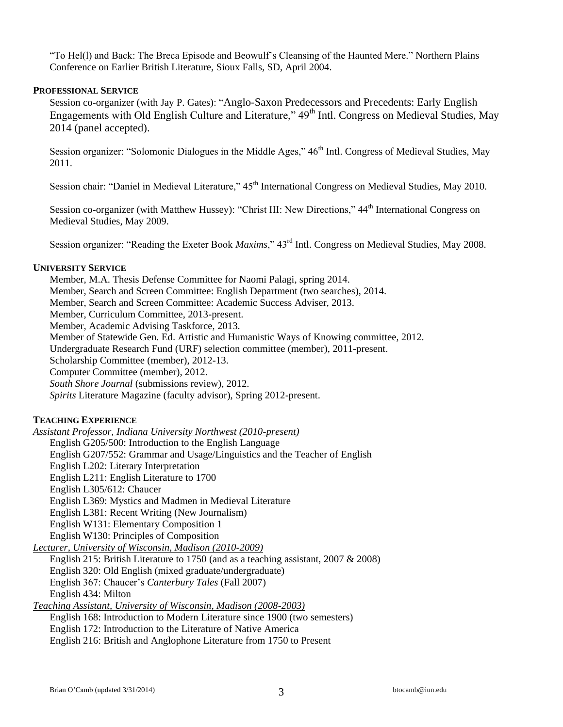"To Hel(l) and Back: The Breca Episode and Beowulf's Cleansing of the Haunted Mere." Northern Plains Conference on Earlier British Literature, Sioux Falls, SD, April 2004.

# **PROFESSIONAL SERVICE**

Session co-organizer (with Jay P. Gates): "Anglo-Saxon Predecessors and Precedents: Early English Engagements with Old English Culture and Literature,"  $49<sup>th</sup>$  Intl. Congress on Medieval Studies, May 2014 (panel accepted).

Session organizer: "Solomonic Dialogues in the Middle Ages," 46<sup>th</sup> Intl. Congress of Medieval Studies, May 2011.

Session chair: "Daniel in Medieval Literature,"  $45<sup>th</sup>$  International Congress on Medieval Studies, May 2010.

Session co-organizer (with Matthew Hussey): "Christ III: New Directions," 44<sup>th</sup> International Congress on Medieval Studies, May 2009.

Session organizer: "Reading the Exeter Book *Maxims*," 43<sup>rd</sup> Intl. Congress on Medieval Studies, May 2008.

### **UNIVERSITY SERVICE**

Member, M.A. Thesis Defense Committee for Naomi Palagi, spring 2014. Member, Search and Screen Committee: English Department (two searches), 2014. Member, Search and Screen Committee: Academic Success Adviser, 2013. Member, Curriculum Committee, 2013-present. Member, Academic Advising Taskforce, 2013. Member of Statewide Gen. Ed. Artistic and Humanistic Ways of Knowing committee, 2012. Undergraduate Research Fund (URF) selection committee (member), 2011-present. Scholarship Committee (member), 2012-13. Computer Committee (member), 2012. *South Shore Journal* (submissions review), 2012. *Spirits* Literature Magazine (faculty advisor), Spring 2012-present.

# **TEACHING EXPERIENCE**

*Assistant Professor, Indiana University Northwest (2010-present)* English G205/500: Introduction to the English Language English G207/552: Grammar and Usage/Linguistics and the Teacher of English English L202: Literary Interpretation English L211: English Literature to 1700 English L305/612: Chaucer English L369: Mystics and Madmen in Medieval Literature English L381: Recent Writing (New Journalism) English W131: Elementary Composition 1 English W130: Principles of Composition *Lecturer, University of Wisconsin, Madison (2010-2009)* English 215: British Literature to 1750 (and as a teaching assistant, 2007 & 2008) English 320: Old English (mixed graduate/undergraduate) English 367: Chaucer's *Canterbury Tales* (Fall 2007)

English 434: Milton

*Teaching Assistant, University of Wisconsin, Madison (2008-2003)*

English 168: Introduction to Modern Literature since 1900 (two semesters)

English 172: Introduction to the Literature of Native America

English 216: British and Anglophone Literature from 1750 to Present